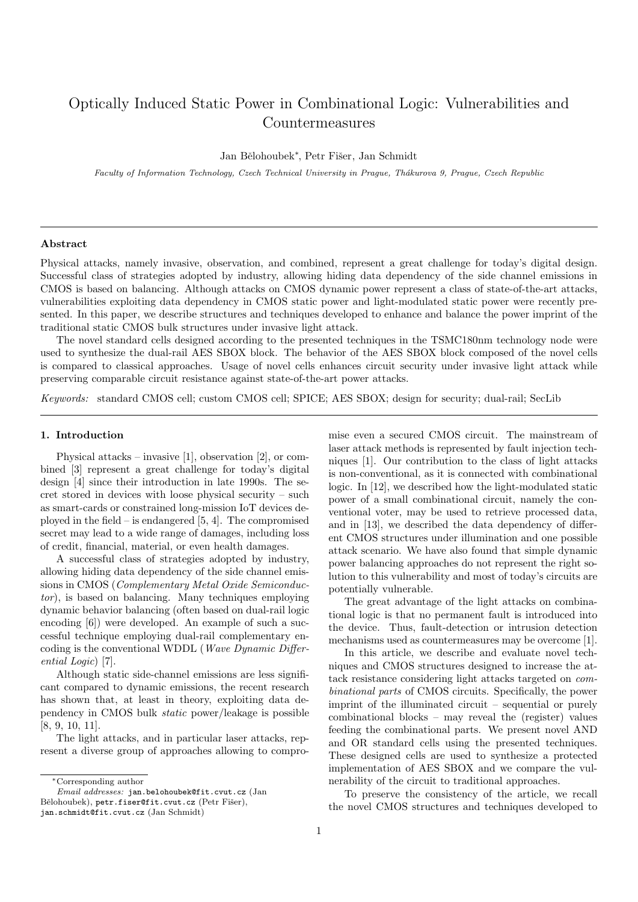# Optically Induced Static Power in Combinational Logic: Vulnerabilities and Countermeasures

Jan Bělohoubek\*, Petr Fišer, Jan Schmidt

Faculty of Information Technology, Czech Technical University in Prague, Thákurova 9, Prague, Czech Republic

## Abstract

Physical attacks, namely invasive, observation, and combined, represent a great challenge for today's digital design. Successful class of strategies adopted by industry, allowing hiding data dependency of the side channel emissions in CMOS is based on balancing. Although attacks on CMOS dynamic power represent a class of state-of-the-art attacks, vulnerabilities exploiting data dependency in CMOS static power and light-modulated static power were recently presented. In this paper, we describe structures and techniques developed to enhance and balance the power imprint of the traditional static CMOS bulk structures under invasive light attack.

The novel standard cells designed according to the presented techniques in the TSMC180nm technology node were used to synthesize the dual-rail AES SBOX block. The behavior of the AES SBOX block composed of the novel cells is compared to classical approaches. Usage of novel cells enhances circuit security under invasive light attack while preserving comparable circuit resistance against state-of-the-art power attacks.

Keywords: standard CMOS cell; custom CMOS cell; SPICE; AES SBOX; design for security; dual-rail; SecLib

#### <span id="page-0-0"></span>1. Introduction

Physical attacks – invasive [\[1\]](#page-13-0), observation [\[2\]](#page-13-1), or combined [\[3\]](#page-13-2) represent a great challenge for today's digital design [\[4\]](#page-13-3) since their introduction in late 1990s. The secret stored in devices with loose physical security – such as smart-cards or constrained long-mission IoT devices deployed in the field – is endangered  $[5, 4]$  $[5, 4]$ . The compromised secret may lead to a wide range of damages, including loss of credit, financial, material, or even health damages.

A successful class of strategies adopted by industry, allowing hiding data dependency of the side channel emissions in CMOS (Complementary Metal Oxide Semiconductor), is based on balancing. Many techniques employing dynamic behavior balancing (often based on dual-rail logic encoding [\[6\]](#page-13-5)) were developed. An example of such a successful technique employing dual-rail complementary encoding is the conventional WDDL (Wave Dynamic Differential Logic) [\[7\]](#page-13-6).

Although static side-channel emissions are less significant compared to dynamic emissions, the recent research has shown that, at least in theory, exploiting data dependency in CMOS bulk static power/leakage is possible [\[8,](#page-13-7) [9,](#page-13-8) [10,](#page-13-9) [11\]](#page-13-10).

The light attacks, and in particular laser attacks, represent a diverse group of approaches allowing to compro-

mise even a secured CMOS circuit. The mainstream of laser attack methods is represented by fault injection techniques [\[1\]](#page-13-0). Our contribution to the class of light attacks is non-conventional, as it is connected with combinational logic. In [\[12\]](#page-13-11), we described how the light-modulated static power of a small combinational circuit, namely the conventional voter, may be used to retrieve processed data, and in [\[13\]](#page-13-12), we described the data dependency of different CMOS structures under illumination and one possible attack scenario. We have also found that simple dynamic power balancing approaches do not represent the right solution to this vulnerability and most of today's circuits are potentially vulnerable.

The great advantage of the light attacks on combinational logic is that no permanent fault is introduced into the device. Thus, fault-detection or intrusion detection mechanisms used as countermeasures may be overcome [\[1\]](#page-13-0).

In this article, we describe and evaluate novel techniques and CMOS structures designed to increase the attack resistance considering light attacks targeted on combinational parts of CMOS circuits. Specifically, the power imprint of the illuminated circuit – sequential or purely combinational blocks – may reveal the (register) values feeding the combinational parts. We present novel AND and OR standard cells using the presented techniques. These designed cells are used to synthesize a protected implementation of AES SBOX and we compare the vulnerability of the circuit to traditional approaches.

To preserve the consistency of the article, we recall the novel CMOS structures and techniques developed to

<sup>∗</sup>Corresponding author

Email addresses: jan.belohoubek@fit.cvut.cz (Jan Bělohoubek), petr.fiser@fit.cvut.cz (Petr Fišer), jan.schmidt@fit.cvut.cz (Jan Schmidt)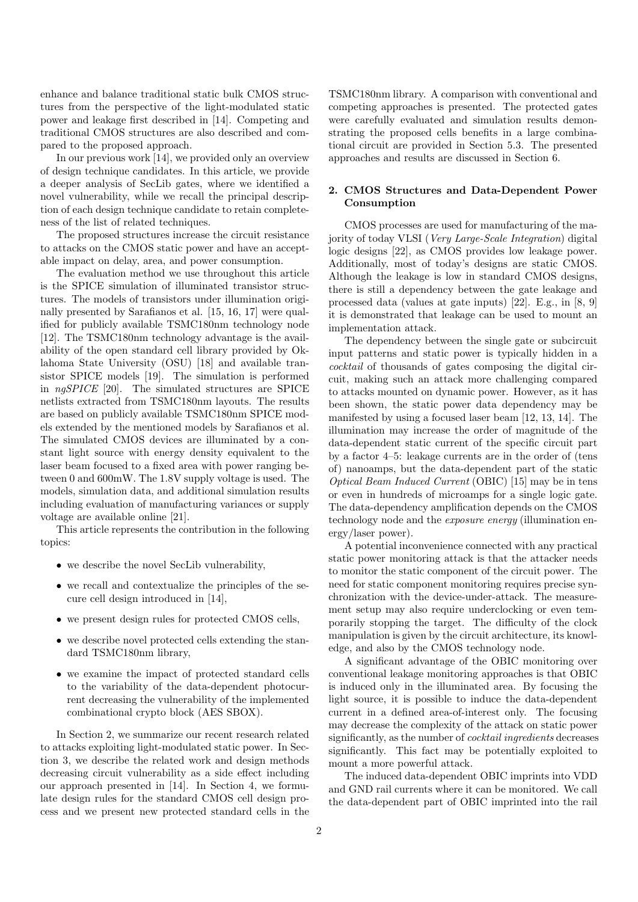enhance and balance traditional static bulk CMOS structures from the perspective of the light-modulated static power and leakage first described in [\[14\]](#page-13-13). Competing and traditional CMOS structures are also described and compared to the proposed approach.

In our previous work [\[14\]](#page-13-13), we provided only an overview of design technique candidates. In this article, we provide a deeper analysis of SecLib gates, where we identified a novel vulnerability, while we recall the principal description of each design technique candidate to retain completeness of the list of related techniques.

The proposed structures increase the circuit resistance to attacks on the CMOS static power and have an acceptable impact on delay, area, and power consumption.

The evaluation method we use throughout this article is the SPICE simulation of illuminated transistor structures. The models of transistors under illumination originally presented by Sarafianos et al. [\[15,](#page-13-14) [16,](#page-13-15) [17\]](#page-13-16) were qualified for publicly available TSMC180nm technology node [\[12\]](#page-13-11). The TSMC180nm technology advantage is the availability of the open standard cell library provided by Oklahoma State University (OSU) [\[18\]](#page-13-17) and available transistor SPICE models [\[19\]](#page-13-18). The simulation is performed in ngSPICE [\[20\]](#page-13-19). The simulated structures are SPICE netlists extracted from TSMC180nm layouts. The results are based on publicly available TSMC180nm SPICE models extended by the mentioned models by Sarafianos et al. The simulated CMOS devices are illuminated by a constant light source with energy density equivalent to the laser beam focused to a fixed area with power ranging between 0 and 600mW. The 1.8V supply voltage is used. The models, simulation data, and additional simulation results including evaluation of manufacturing variances or supply voltage are available online [\[21\]](#page-14-0).

This article represents the contribution in the following topics:

- we describe the novel SecLib vulnerability,
- we recall and contextualize the principles of the secure cell design introduced in [\[14\]](#page-13-13),
- we present design rules for protected CMOS cells,
- we describe novel protected cells extending the standard TSMC180nm library,
- we examine the impact of protected standard cells to the variability of the data-dependent photocurrent decreasing the vulnerability of the implemented combinational crypto block (AES SBOX).

In Section [2,](#page-1-0) we summarize our recent research related to attacks exploiting light-modulated static power. In Section [3,](#page-3-0) we describe the related work and design methods decreasing circuit vulnerability as a side effect including our approach presented in [\[14\]](#page-13-13). In Section [4,](#page-7-0) we formulate design rules for the standard CMOS cell design process and we present new protected standard cells in the

TSMC180nm library. A comparison with conventional and competing approaches is presented. The protected gates were carefully evaluated and simulation results demonstrating the proposed cells benefits in a large combinational circuit are provided in Section [5.3.](#page-8-0) The presented approaches and results are discussed in Section [6.](#page-10-0)

# <span id="page-1-0"></span>2. CMOS Structures and Data-Dependent Power Consumption

CMOS processes are used for manufacturing of the majority of today VLSI (Very Large-Scale Integration) digital logic designs [\[22\]](#page-14-1), as CMOS provides low leakage power. Additionally, most of today's designs are static CMOS. Although the leakage is low in standard CMOS designs, there is still a dependency between the gate leakage and processed data (values at gate inputs) [\[22\]](#page-14-1). E.g., in [\[8,](#page-13-7) [9\]](#page-13-8) it is demonstrated that leakage can be used to mount an implementation attack.

The dependency between the single gate or subcircuit input patterns and static power is typically hidden in a cocktail of thousands of gates composing the digital circuit, making such an attack more challenging compared to attacks mounted on dynamic power. However, as it has been shown, the static power data dependency may be manifested by using a focused laser beam [\[12,](#page-13-11) [13,](#page-13-12) [14\]](#page-13-13). The illumination may increase the order of magnitude of the data-dependent static current of the specific circuit part by a factor 4–5: leakage currents are in the order of (tens of) nanoamps, but the data-dependent part of the static Optical Beam Induced Current (OBIC) [\[15\]](#page-13-14) may be in tens or even in hundreds of microamps for a single logic gate. The data-dependency amplification depends on the CMOS technology node and the exposure energy (illumination energy/laser power).

A potential inconvenience connected with any practical static power monitoring attack is that the attacker needs to monitor the static component of the circuit power. The need for static component monitoring requires precise synchronization with the device-under-attack. The measurement setup may also require underclocking or even temporarily stopping the target. The difficulty of the clock manipulation is given by the circuit architecture, its knowledge, and also by the CMOS technology node.

A significant advantage of the OBIC monitoring over conventional leakage monitoring approaches is that OBIC is induced only in the illuminated area. By focusing the light source, it is possible to induce the data-dependent current in a defined area-of-interest only. The focusing may decrease the complexity of the attack on static power significantly, as the number of *cocktail ingredients* decreases significantly. This fact may be potentially exploited to mount a more powerful attack.

The induced data-dependent OBIC imprints into VDD and GND rail currents where it can be monitored. We call the data-dependent part of OBIC imprinted into the rail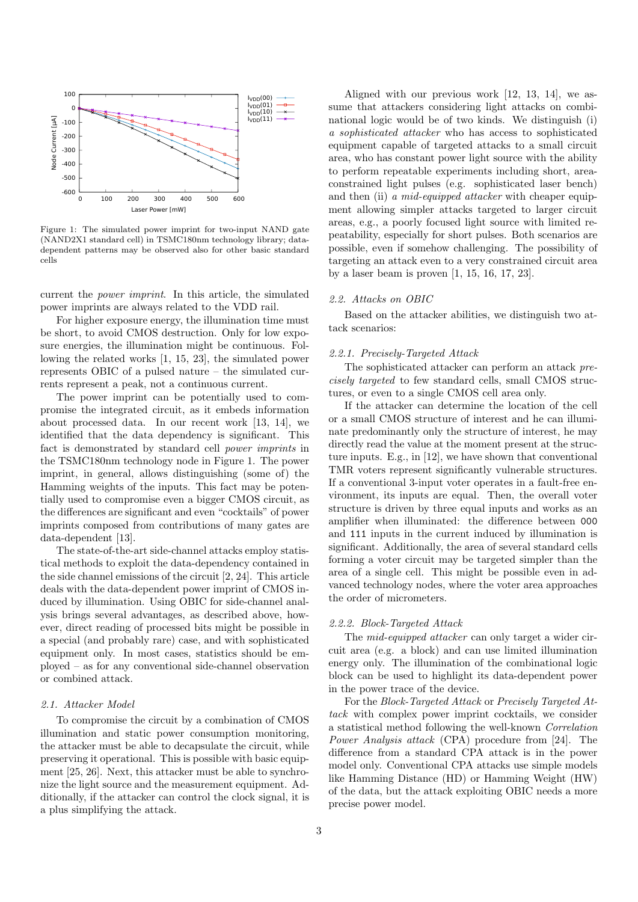<span id="page-2-0"></span>

Figure 1: The simulated power imprint for two-input NAND gate (NAND2X1 standard cell) in TSMC180nm technology library; datadependent patterns may be observed also for other basic standard cells

current the power imprint. In this article, the simulated power imprints are always related to the VDD rail.

For higher exposure energy, the illumination time must be short, to avoid CMOS destruction. Only for low exposure energies, the illumination might be continuous. Following the related works [\[1,](#page-13-0) [15,](#page-13-14) [23\]](#page-14-2), the simulated power represents OBIC of a pulsed nature – the simulated currents represent a peak, not a continuous current.

The power imprint can be potentially used to compromise the integrated circuit, as it embeds information about processed data. In our recent work [\[13,](#page-13-12) [14\]](#page-13-13), we identified that the data dependency is significant. This fact is demonstrated by standard cell power imprints in the TSMC180nm technology node in Figure [1.](#page-2-0) The power imprint, in general, allows distinguishing (some of) the Hamming weights of the inputs. This fact may be potentially used to compromise even a bigger CMOS circuit, as the differences are significant and even "cocktails" of power imprints composed from contributions of many gates are data-dependent [\[13\]](#page-13-12).

The state-of-the-art side-channel attacks employ statistical methods to exploit the data-dependency contained in the side channel emissions of the circuit [\[2,](#page-13-1) [24\]](#page-14-3). This article deals with the data-dependent power imprint of CMOS induced by illumination. Using OBIC for side-channel analysis brings several advantages, as described above, however, direct reading of processed bits might be possible in a special (and probably rare) case, and with sophisticated equipment only. In most cases, statistics should be employed – as for any conventional side-channel observation or combined attack.

#### 2.1. Attacker Model

To compromise the circuit by a combination of CMOS illumination and static power consumption monitoring, the attacker must be able to decapsulate the circuit, while preserving it operational. This is possible with basic equipment [\[25,](#page-14-4) [26\]](#page-14-5). Next, this attacker must be able to synchronize the light source and the measurement equipment. Additionally, if the attacker can control the clock signal, it is a plus simplifying the attack.

Aligned with our previous work [\[12,](#page-13-11) [13,](#page-13-12) [14\]](#page-13-13), we assume that attackers considering light attacks on combinational logic would be of two kinds. We distinguish (i) a sophisticated attacker who has access to sophisticated equipment capable of targeted attacks to a small circuit area, who has constant power light source with the ability to perform repeatable experiments including short, areaconstrained light pulses (e.g. sophisticated laser bench) and then (ii) a mid-equipped attacker with cheaper equipment allowing simpler attacks targeted to larger circuit areas, e.g., a poorly focused light source with limited repeatability, especially for short pulses. Both scenarios are possible, even if somehow challenging. The possibility of targeting an attack even to a very constrained circuit area by a laser beam is proven [\[1,](#page-13-0) [15,](#page-13-14) [16,](#page-13-15) [17,](#page-13-16) [23\]](#page-14-2).

## 2.2. Attacks on OBIC

Based on the attacker abilities, we distinguish two attack scenarios:

#### 2.2.1. Precisely-Targeted Attack

The sophisticated attacker can perform an attack precisely targeted to few standard cells, small CMOS structures, or even to a single CMOS cell area only.

If the attacker can determine the location of the cell or a small CMOS structure of interest and he can illuminate predominantly only the structure of interest, he may directly read the value at the moment present at the structure inputs. E.g., in [\[12\]](#page-13-11), we have shown that conventional TMR voters represent significantly vulnerable structures. If a conventional 3-input voter operates in a fault-free environment, its inputs are equal. Then, the overall voter structure is driven by three equal inputs and works as an amplifier when illuminated: the difference between 000 and 111 inputs in the current induced by illumination is significant. Additionally, the area of several standard cells forming a voter circuit may be targeted simpler than the area of a single cell. This might be possible even in advanced technology nodes, where the voter area approaches the order of micrometers.

#### 2.2.2. Block-Targeted Attack

The mid-equipped attacker can only target a wider circuit area (e.g. a block) and can use limited illumination energy only. The illumination of the combinational logic block can be used to highlight its data-dependent power in the power trace of the device.

For the Block-Targeted Attack or Precisely Targeted Attack with complex power imprint cocktails, we consider a statistical method following the well-known Correlation Power Analysis attack (CPA) procedure from [\[24\]](#page-14-3). The difference from a standard CPA attack is in the power model only. Conventional CPA attacks use simple models like Hamming Distance (HD) or Hamming Weight (HW) of the data, but the attack exploiting OBIC needs a more precise power model.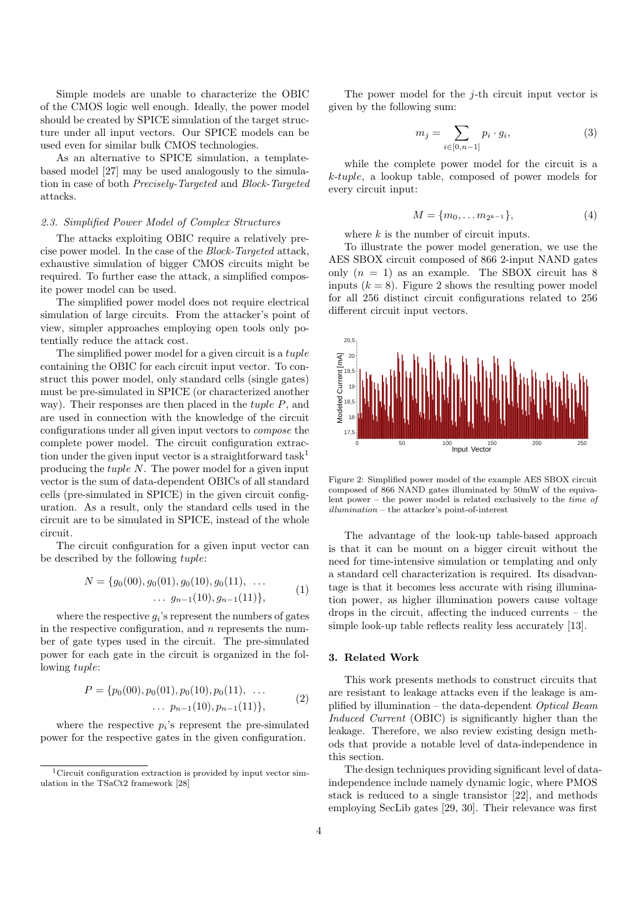Simple models are unable to characterize the OBIC of the CMOS logic well enough. Ideally, the power model should be created by SPICE simulation of the target structure under all input vectors. Our SPICE models can be used even for similar bulk CMOS technologies.

As an alternative to SPICE simulation, a templatebased model [\[27\]](#page-14-6) may be used analogously to the simulation in case of both Precisely-Targeted and Block-Targeted attacks.

## 2.3. Simplified Power Model of Complex Structures

The attacks exploiting OBIC require a relatively precise power model. In the case of the Block-Targeted attack, exhaustive simulation of bigger CMOS circuits might be required. To further ease the attack, a simplified composite power model can be used.

The simplified power model does not require electrical simulation of large circuits. From the attacker's point of view, simpler approaches employing open tools only potentially reduce the attack cost.

The simplified power model for a given circuit is a *tuple* containing the OBIC for each circuit input vector. To construct this power model, only standard cells (single gates) must be pre-simulated in SPICE (or characterized another way). Their responses are then placed in the *tuple P*, and are used in connection with the knowledge of the circuit configurations under all given input vectors to compose the complete power model. The circuit configuration extrac-tion under the given input vector is a straightforward task<sup>[1](#page-3-1)</sup> producing the tuple N. The power model for a given input vector is the sum of data-dependent OBICs of all standard cells (pre-simulated in SPICE) in the given circuit configuration. As a result, only the standard cells used in the circuit are to be simulated in SPICE, instead of the whole circuit.

The circuit configuration for a given input vector can be described by the following tuple:

$$
N = \{g_0(00), g_0(01), g_0(10), g_0(11), \dots \n\ldots g_{n-1}(10), g_{n-1}(11)\},
$$
\n(1)

where the respective  $g_i$ 's represent the numbers of gates in the respective configuration, and  $n$  represents the number of gate types used in the circuit. The pre-simulated power for each gate in the circuit is organized in the following tuple:

$$
P = \{p_0(00), p_0(01), p_0(10), p_0(11), \dots \n\ldots p_{n-1}(10), p_{n-1}(11)\},
$$
\n(2)

where the respective  $p_i$ 's represent the pre-simulated power for the respective gates in the given configuration.

The power model for the  $j$ -th circuit input vector is given by the following sum:

$$
m_j = \sum_{i \in [0, n-1]} p_i \cdot g_i,
$$
 (3)

while the complete power model for the circuit is a k-tuple, a lookup table, composed of power models for every circuit input:

$$
M = \{m_0, \dots m_{2^{k-1}}\},\tag{4}
$$

where  $k$  is the number of circuit inputs.

To illustrate the power model generation, we use the AES SBOX circuit composed of 866 2-input NAND gates only  $(n = 1)$  as an example. The SBOX circuit has 8 inputs  $(k = 8)$ . Figure [2](#page-3-2) shows the resulting power model for all 256 distinct circuit configurations related to 256 different circuit input vectors.

<span id="page-3-2"></span>

Figure 2: Simplified power model of the example AES SBOX circuit composed of 866 NAND gates illuminated by 50mW of the equivalent power – the power model is related exclusively to the time of illumination – the attacker's point-of-interest

The advantage of the look-up table-based approach is that it can be mount on a bigger circuit without the need for time-intensive simulation or templating and only a standard cell characterization is required. Its disadvantage is that it becomes less accurate with rising illumination power, as higher illumination powers cause voltage drops in the circuit, affecting the induced currents – the simple look-up table reflects reality less accurately [\[13\]](#page-13-12).

## <span id="page-3-0"></span>3. Related Work

This work presents methods to construct circuits that are resistant to leakage attacks even if the leakage is amplified by illumination – the data-dependent Optical Beam Induced Current (OBIC) is significantly higher than the leakage. Therefore, we also review existing design methods that provide a notable level of data-independence in this section.

The design techniques providing significant level of dataindependence include namely dynamic logic, where PMOS stack is reduced to a single transistor [\[22\]](#page-14-1), and methods employing SecLib gates [\[29,](#page-14-8) [30\]](#page-14-9). Their relevance was first

<span id="page-3-1"></span><sup>&</sup>lt;sup>1</sup>Circuit configuration extraction is provided by input vector simulation in the TSaCt2 framework [\[28\]](#page-14-7)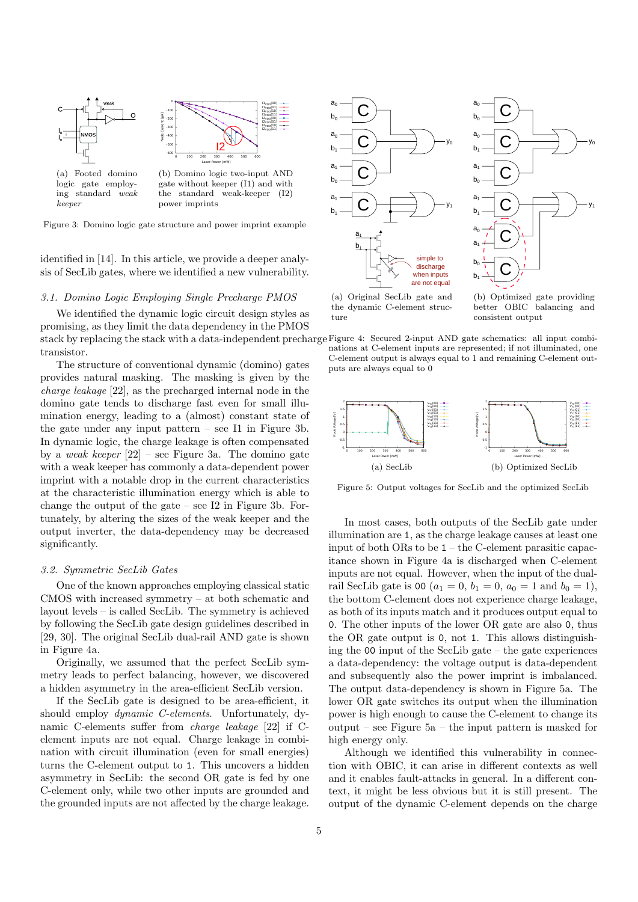<span id="page-4-1"></span><span id="page-4-0"></span>

Figure 3: Domino logic gate structure and power imprint example

identified in [\[14\]](#page-13-13). In this article, we provide a deeper analysis of SecLib gates, where we identified a new vulnerability.

# 3.1. Domino Logic Employing Single Precharge PMOS

We identified the dynamic logic circuit design styles as promising, as they limit the data dependency in the PMOS transistor.

The structure of conventional dynamic (domino) gates provides natural masking. The masking is given by the charge leakage [\[22\]](#page-14-1), as the precharged internal node in the domino gate tends to discharge fast even for small illumination energy, leading to a (almost) constant state of the gate under any input pattern – see I1 in Figure [3b.](#page-4-0) In dynamic logic, the charge leakage is often compensated by a weak keeper  $[22]$  – see Figure [3a.](#page-4-1) The domino gate with a weak keeper has commonly a data-dependent power imprint with a notable drop in the current characteristics at the characteristic illumination energy which is able to change the output of the gate – see I2 in Figure [3b.](#page-4-0) Fortunately, by altering the sizes of the weak keeper and the output inverter, the data-dependency may be decreased significantly.

## 3.2. Symmetric SecLib Gates

One of the known approaches employing classical static CMOS with increased symmetry – at both schematic and layout levels – is called SecLib. The symmetry is achieved by following the SecLib gate design guidelines described in [\[29,](#page-14-8) [30\]](#page-14-9). The original SecLib dual-rail AND gate is shown in Figure [4a.](#page-4-2)

Originally, we assumed that the perfect SecLib symmetry leads to perfect balancing, however, we discovered a hidden asymmetry in the area-efficient SecLib version.

If the SecLib gate is designed to be area-efficient, it should employ dynamic C-elements. Unfortunately, dynamic C-elements suffer from charge leakage [\[22\]](#page-14-1) if Celement inputs are not equal. Charge leakage in combination with circuit illumination (even for small energies) turns the C-element output to 1. This uncovers a hidden asymmetry in SecLib: the second OR gate is fed by one C-element only, while two other inputs are grounded and the grounded inputs are not affected by the charge leakage.

<span id="page-4-2"></span>



(a) Original SecLib gate and the dynamic C-element structure

<span id="page-4-4"></span>(b) Optimized gate providing better OBIC balancing and consistent output



<span id="page-4-3"></span>

<span id="page-4-5"></span>Figure 5: Output voltages for SecLib and the optimized SecLib

In most cases, both outputs of the SecLib gate under illumination are 1, as the charge leakage causes at least one input of both ORs to be 1 – the C-element parasitic capacitance shown in Figure [4a](#page-4-2) is discharged when C-element inputs are not equal. However, when the input of the dualrail SecLib gate is 00 ( $a_1 = 0$ ,  $b_1 = 0$ ,  $a_0 = 1$  and  $b_0 = 1$ ), the bottom C-element does not experience charge leakage, as both of its inputs match and it produces output equal to 0. The other inputs of the lower OR gate are also 0, thus the OR gate output is 0, not 1. This allows distinguishing the 00 input of the SecLib gate – the gate experiences a data-dependency: the voltage output is data-dependent and subsequently also the power imprint is imbalanced. The output data-dependency is shown in Figure [5a.](#page-4-3) The lower OR gate switches its output when the illumination power is high enough to cause the C-element to change its output – see Figure [5a](#page-4-3) – the input pattern is masked for high energy only.

Although we identified this vulnerability in connection with OBIC, it can arise in different contexts as well and it enables fault-attacks in general. In a different context, it might be less obvious but it is still present. The output of the dynamic C-element depends on the charge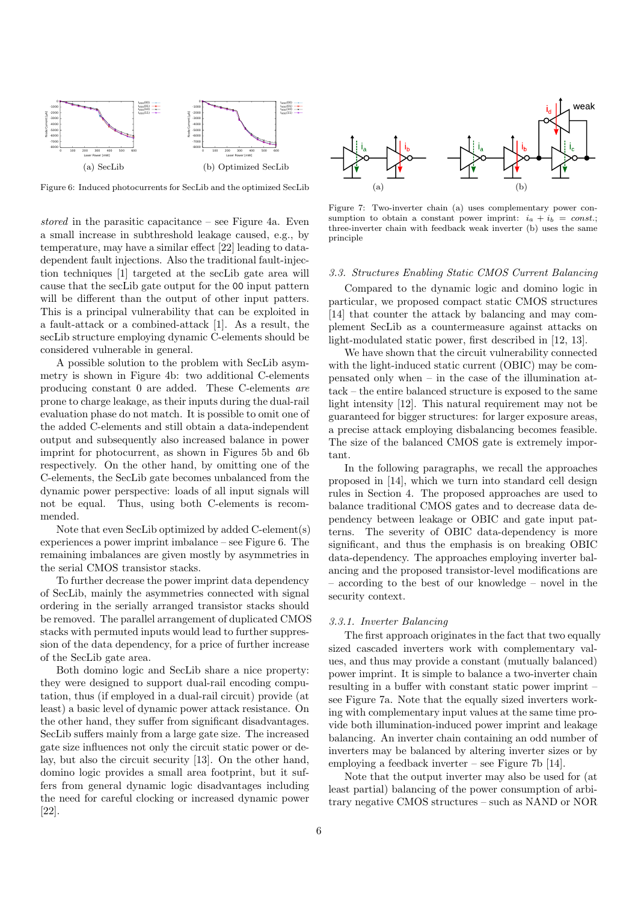<span id="page-5-1"></span>

Figure 6: Induced photocurrents for SecLib and the optimized SecLib

stored in the parasitic capacitance – see Figure [4a.](#page-4-2) Even a small increase in subthreshold leakage caused, e.g., by temperature, may have a similar effect [\[22\]](#page-14-1) leading to datadependent fault injections. Also the traditional fault-injection techniques [\[1\]](#page-13-0) targeted at the secLib gate area will cause that the secLib gate output for the 00 input pattern will be different than the output of other input patters. This is a principal vulnerability that can be exploited in a fault-attack or a combined-attack [\[1\]](#page-13-0). As a result, the secLib structure employing dynamic C-elements should be considered vulnerable in general.

A possible solution to the problem with SecLib asymmetry is shown in Figure [4b:](#page-4-4) two additional C-elements producing constant 0 are added. These C-elements are prone to charge leakage, as their inputs during the dual-rail evaluation phase do not match. It is possible to omit one of the added C-elements and still obtain a data-independent output and subsequently also increased balance in power imprint for photocurrent, as shown in Figures [5b](#page-4-5) and [6b](#page-5-0) respectively. On the other hand, by omitting one of the C-elements, the SecLib gate becomes unbalanced from the dynamic power perspective: loads of all input signals will not be equal. Thus, using both C-elements is recommended.

Note that even SecLib optimized by added C-element(s) experiences a power imprint imbalance – see Figure [6.](#page-5-1) The remaining imbalances are given mostly by asymmetries in the serial CMOS transistor stacks.

To further decrease the power imprint data dependency of SecLib, mainly the asymmetries connected with signal ordering in the serially arranged transistor stacks should be removed. The parallel arrangement of duplicated CMOS stacks with permuted inputs would lead to further suppression of the data dependency, for a price of further increase of the SecLib gate area.

Both domino logic and SecLib share a nice property: they were designed to support dual-rail encoding computation, thus (if employed in a dual-rail circuit) provide (at least) a basic level of dynamic power attack resistance. On the other hand, they suffer from significant disadvantages. SecLib suffers mainly from a large gate size. The increased gate size influences not only the circuit static power or delay, but also the circuit security [\[13\]](#page-13-12). On the other hand, domino logic provides a small area footprint, but it suffers from general dynamic logic disadvantages including the need for careful clocking or increased dynamic power [\[22\]](#page-14-1).

<span id="page-5-2"></span><span id="page-5-0"></span>

<span id="page-5-3"></span>Figure 7: Two-inverter chain (a) uses complementary power consumption to obtain a constant power imprint:  $i_a + i_b = const.$ ; three-inverter chain with feedback weak inverter (b) uses the same principle

#### <span id="page-5-5"></span>3.3. Structures Enabling Static CMOS Current Balancing

Compared to the dynamic logic and domino logic in particular, we proposed compact static CMOS structures [\[14\]](#page-13-13) that counter the attack by balancing and may complement SecLib as a countermeasure against attacks on light-modulated static power, first described in [\[12,](#page-13-11) [13\]](#page-13-12).

We have shown that the circuit vulnerability connected with the light-induced static current (OBIC) may be compensated only when – in the case of the illumination attack – the entire balanced structure is exposed to the same light intensity [\[12\]](#page-13-11). This natural requirement may not be guaranteed for bigger structures: for larger exposure areas, a precise attack employing disbalancing becomes feasible. The size of the balanced CMOS gate is extremely important.

In the following paragraphs, we recall the approaches proposed in [\[14\]](#page-13-13), which we turn into standard cell design rules in Section [4.](#page-7-0) The proposed approaches are used to balance traditional CMOS gates and to decrease data dependency between leakage or OBIC and gate input patterns. The severity of OBIC data-dependency is more significant, and thus the emphasis is on breaking OBIC data-dependency. The approaches employing inverter balancing and the proposed transistor-level modifications are – according to the best of our knowledge – novel in the security context.

#### <span id="page-5-4"></span>3.3.1. Inverter Balancing

The first approach originates in the fact that two equally sized cascaded inverters work with complementary values, and thus may provide a constant (mutually balanced) power imprint. It is simple to balance a two-inverter chain resulting in a buffer with constant static power imprint – see Figure [7a.](#page-5-2) Note that the equally sized inverters working with complementary input values at the same time provide both illumination-induced power imprint and leakage balancing. An inverter chain containing an odd number of inverters may be balanced by altering inverter sizes or by employing a feedback inverter – see Figure [7b](#page-5-3) [\[14\]](#page-13-13).

Note that the output inverter may also be used for (at least partial) balancing of the power consumption of arbitrary negative CMOS structures – such as NAND or NOR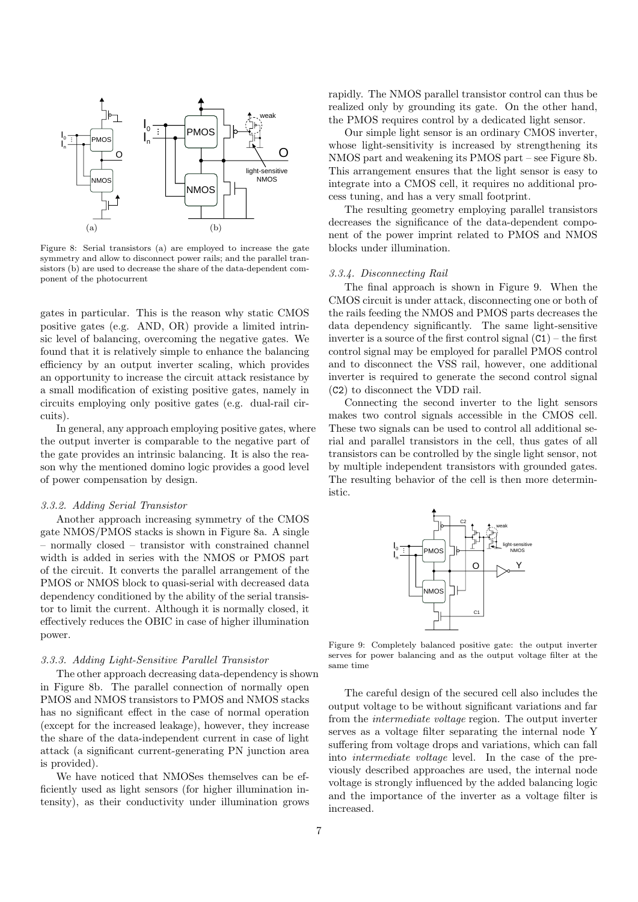<span id="page-6-0"></span>

<span id="page-6-1"></span>Figure 8: Serial transistors (a) are employed to increase the gate symmetry and allow to disconnect power rails; and the parallel transistors (b) are used to decrease the share of the data-dependent component of the photocurrent

gates in particular. This is the reason why static CMOS positive gates (e.g. AND, OR) provide a limited intrinsic level of balancing, overcoming the negative gates. We found that it is relatively simple to enhance the balancing efficiency by an output inverter scaling, which provides an opportunity to increase the circuit attack resistance by a small modification of existing positive gates, namely in circuits employing only positive gates (e.g. dual-rail circuits).

In general, any approach employing positive gates, where the output inverter is comparable to the negative part of the gate provides an intrinsic balancing. It is also the reason why the mentioned domino logic provides a good level of power compensation by design.

## 3.3.2. Adding Serial Transistor

Another approach increasing symmetry of the CMOS gate NMOS/PMOS stacks is shown in Figure [8a.](#page-6-0) A single – normally closed – transistor with constrained channel width is added in series with the NMOS or PMOS part of the circuit. It converts the parallel arrangement of the PMOS or NMOS block to quasi-serial with decreased data dependency conditioned by the ability of the serial transistor to limit the current. Although it is normally closed, it effectively reduces the OBIC in case of higher illumination power.

# 3.3.3. Adding Light-Sensitive Parallel Transistor

The other approach decreasing data-dependency is shown in Figure [8b.](#page-6-1) The parallel connection of normally open PMOS and NMOS transistors to PMOS and NMOS stacks has no significant effect in the case of normal operation (except for the increased leakage), however, they increase the share of the data-independent current in case of light attack (a significant current-generating PN junction area is provided).

We have noticed that NMOSes themselves can be efficiently used as light sensors (for higher illumination intensity), as their conductivity under illumination grows rapidly. The NMOS parallel transistor control can thus be realized only by grounding its gate. On the other hand, the PMOS requires control by a dedicated light sensor.

Our simple light sensor is an ordinary CMOS inverter, whose light-sensitivity is increased by strengthening its NMOS part and weakening its PMOS part – see Figure [8b.](#page-6-1) This arrangement ensures that the light sensor is easy to integrate into a CMOS cell, it requires no additional process tuning, and has a very small footprint.

The resulting geometry employing parallel transistors decreases the significance of the data-dependent component of the power imprint related to PMOS and NMOS blocks under illumination.

## 3.3.4. Disconnecting Rail

The final approach is shown in Figure [9.](#page-6-2) When the CMOS circuit is under attack, disconnecting one or both of the rails feeding the NMOS and PMOS parts decreases the data dependency significantly. The same light-sensitive inverter is a source of the first control signal  $(C1)$  – the first control signal may be employed for parallel PMOS control and to disconnect the VSS rail, however, one additional inverter is required to generate the second control signal (C2) to disconnect the VDD rail.

Connecting the second inverter to the light sensors makes two control signals accessible in the CMOS cell. These two signals can be used to control all additional serial and parallel transistors in the cell, thus gates of all transistors can be controlled by the single light sensor, not by multiple independent transistors with grounded gates. The resulting behavior of the cell is then more deterministic.

<span id="page-6-2"></span>

Figure 9: Completely balanced positive gate: the output inverter serves for power balancing and as the output voltage filter at the same time

The careful design of the secured cell also includes the output voltage to be without significant variations and far from the intermediate voltage region. The output inverter serves as a voltage filter separating the internal node Y suffering from voltage drops and variations, which can fall into intermediate voltage level. In the case of the previously described approaches are used, the internal node voltage is strongly influenced by the added balancing logic and the importance of the inverter as a voltage filter is increased.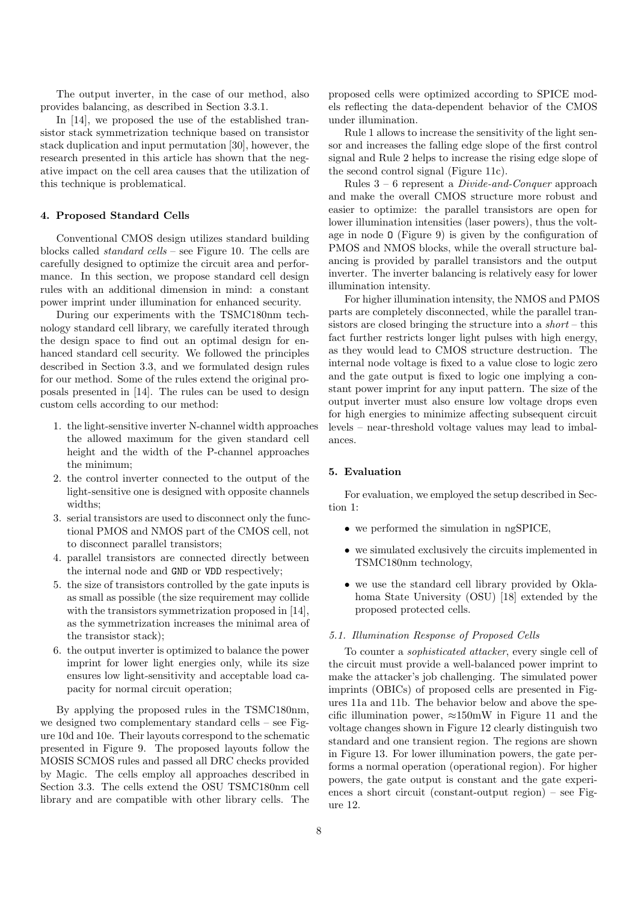The output inverter, in the case of our method, also provides balancing, as described in Section [3.3.1.](#page-5-4)

In [\[14\]](#page-13-13), we proposed the use of the established transistor stack symmetrization technique based on transistor stack duplication and input permutation [\[30\]](#page-14-9), however, the research presented in this article has shown that the negative impact on the cell area causes that the utilization of this technique is problematical.

# <span id="page-7-0"></span>4. Proposed Standard Cells

Conventional CMOS design utilizes standard building blocks called standard cells – see Figure [10.](#page-8-1) The cells are carefully designed to optimize the circuit area and performance. In this section, we propose standard cell design rules with an additional dimension in mind: a constant power imprint under illumination for enhanced security.

During our experiments with the TSMC180nm technology standard cell library, we carefully iterated through the design space to find out an optimal design for enhanced standard cell security. We followed the principles described in Section [3.3,](#page-5-5) and we formulated design rules for our method. Some of the rules extend the original proposals presented in [\[14\]](#page-13-13). The rules can be used to design custom cells according to our method:

- <span id="page-7-1"></span>1. the light-sensitive inverter N-channel width approaches the allowed maximum for the given standard cell height and the width of the P-channel approaches the minimum;
- <span id="page-7-2"></span>2. the control inverter connected to the output of the light-sensitive one is designed with opposite channels widths;
- <span id="page-7-3"></span>3. serial transistors are used to disconnect only the functional PMOS and NMOS part of the CMOS cell, not to disconnect parallel transistors;
- 4. parallel transistors are connected directly between the internal node and GND or VDD respectively;
- 5. the size of transistors controlled by the gate inputs is as small as possible (the size requirement may collide with the transistors symmetrization proposed in [\[14\]](#page-13-13), as the symmetrization increases the minimal area of the transistor stack);
- <span id="page-7-4"></span>6. the output inverter is optimized to balance the power imprint for lower light energies only, while its size ensures low light-sensitivity and acceptable load capacity for normal circuit operation;

By applying the proposed rules in the TSMC180nm, we designed two complementary standard cells – see Figure [10d](#page-8-2) and [10e.](#page-8-3) Their layouts correspond to the schematic presented in Figure [9.](#page-6-2) The proposed layouts follow the MOSIS SCMOS rules and passed all DRC checks provided by Magic. The cells employ all approaches described in Section [3.3.](#page-5-5) The cells extend the OSU TSMC180nm cell library and are compatible with other library cells. The

proposed cells were optimized according to SPICE models reflecting the data-dependent behavior of the CMOS under illumination.

Rule [1](#page-7-1) allows to increase the sensitivity of the light sensor and increases the falling edge slope of the first control signal and Rule [2](#page-7-2) helps to increase the rising edge slope of the second control signal (Figure [11c\)](#page-9-0).

Rules  $3 - 6$  $3 - 6$  represent a *Divide-and-Conquer* approach and make the overall CMOS structure more robust and easier to optimize: the parallel transistors are open for lower illumination intensities (laser powers), thus the voltage in node O (Figure [9\)](#page-6-2) is given by the configuration of PMOS and NMOS blocks, while the overall structure balancing is provided by parallel transistors and the output inverter. The inverter balancing is relatively easy for lower illumination intensity.

For higher illumination intensity, the NMOS and PMOS parts are completely disconnected, while the parallel transistors are closed bringing the structure into a  $short$ -this fact further restricts longer light pulses with high energy, as they would lead to CMOS structure destruction. The internal node voltage is fixed to a value close to logic zero and the gate output is fixed to logic one implying a constant power imprint for any input pattern. The size of the output inverter must also ensure low voltage drops even for high energies to minimize affecting subsequent circuit levels – near-threshold voltage values may lead to imbalances.

# 5. Evaluation

For evaluation, we employed the setup described in Section [1:](#page-0-0)

- we performed the simulation in ngSPICE,
- we simulated exclusively the circuits implemented in TSMC180nm technology,
- we use the standard cell library provided by Oklahoma State University (OSU) [\[18\]](#page-13-17) extended by the proposed protected cells.

## 5.1. Illumination Response of Proposed Cells

To counter a sophisticated attacker, every single cell of the circuit must provide a well-balanced power imprint to make the attacker's job challenging. The simulated power imprints (OBICs) of proposed cells are presented in Figures [11a](#page-9-1) and [11b.](#page-9-2) The behavior below and above the specific illumination power,  $\approx 150$  mW in Figure [11](#page-9-3) and the voltage changes shown in Figure [12](#page-9-4) clearly distinguish two standard and one transient region. The regions are shown in Figure [13.](#page-9-5) For lower illumination powers, the gate performs a normal operation (operational region). For higher powers, the gate output is constant and the gate experiences a short circuit (constant-output region) – see Figure [12.](#page-9-4)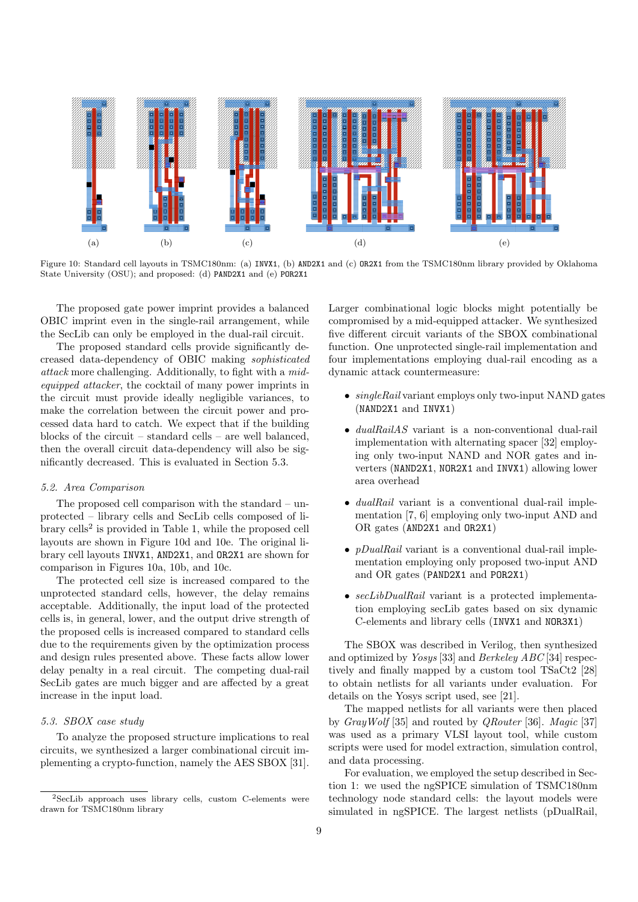<span id="page-8-5"></span><span id="page-8-1"></span>

<span id="page-8-6"></span>Figure 10: Standard cell layouts in TSMC180nm: (a) INVX1, (b) AND2X1 and (c) OR2X1 from the TSMC180nm library provided by Oklahoma State University (OSU); and proposed: (d) PAND2X1 and (e) POR2X1

The proposed gate power imprint provides a balanced OBIC imprint even in the single-rail arrangement, while the SecLib can only be employed in the dual-rail circuit.

The proposed standard cells provide significantly decreased data-dependency of OBIC making sophisticated attack more challenging. Additionally, to fight with a midequipped attacker, the cocktail of many power imprints in the circuit must provide ideally negligible variances, to make the correlation between the circuit power and processed data hard to catch. We expect that if the building blocks of the circuit – standard cells – are well balanced, then the overall circuit data-dependency will also be significantly decreased. This is evaluated in Section [5.3.](#page-8-0)

# 5.2. Area Comparison

The proposed cell comparison with the standard – unprotected – library cells and SecLib cells composed of li-brary cells<sup>[2](#page-8-4)</sup> is provided in Table [1,](#page-9-6) while the proposed cell layouts are shown in Figure [10d](#page-8-2) and [10e.](#page-8-3) The original library cell layouts INVX1, AND2X1, and OR2X1 are shown for comparison in Figures [10a,](#page-8-5) [10b,](#page-8-6) and [10c.](#page-8-7)

The protected cell size is increased compared to the unprotected standard cells, however, the delay remains acceptable. Additionally, the input load of the protected cells is, in general, lower, and the output drive strength of the proposed cells is increased compared to standard cells due to the requirements given by the optimization process and design rules presented above. These facts allow lower delay penalty in a real circuit. The competing dual-rail SecLib gates are much bigger and are affected by a great increase in the input load.

# <span id="page-8-0"></span>5.3. SBOX case study

To analyze the proposed structure implications to real circuits, we synthesized a larger combinational circuit implementing a crypto-function, namely the AES SBOX [\[31\]](#page-14-10). <span id="page-8-7"></span><span id="page-8-3"></span><span id="page-8-2"></span>Larger combinational logic blocks might potentially be compromised by a mid-equipped attacker. We synthesized five different circuit variants of the SBOX combinational function. One unprotected single-rail implementation and four implementations employing dual-rail encoding as a dynamic attack countermeasure:

- $\bullet$  singleRail variant employs only two-input NAND gates (NAND2X1 and INVX1)
- *dualRailAS* variant is a non-conventional dual-rail implementation with alternating spacer [\[32\]](#page-14-11) employing only two-input NAND and NOR gates and inverters (NAND2X1, NOR2X1 and INVX1) allowing lower area overhead
- *dualRail* variant is a conventional dual-rail implementation [\[7,](#page-13-6) [6\]](#page-13-5) employing only two-input AND and OR gates (AND2X1 and OR2X1)
- $pDualRail$  variant is a conventional dual-rail implementation employing only proposed two-input AND and OR gates (PAND2X1 and POR2X1)
- secLibDualRail variant is a protected implementation employing secLib gates based on six dynamic C-elements and library cells (INVX1 and NOR3X1)

The SBOX was described in Verilog, then synthesized and optimized by Yosys [\[33\]](#page-14-12) and Berkeley ABC [\[34\]](#page-14-13) respectively and finally mapped by a custom tool TSaCt2 [\[28\]](#page-14-7) to obtain netlists for all variants under evaluation. For details on the Yosys script used, see [\[21\]](#page-14-0).

The mapped netlists for all variants were then placed by GrayWolf [\[35\]](#page-14-14) and routed by QRouter [\[36\]](#page-14-15). Magic [\[37\]](#page-14-16) was used as a primary VLSI layout tool, while custom scripts were used for model extraction, simulation control, and data processing.

For evaluation, we employed the setup described in Section [1:](#page-0-0) we used the ngSPICE simulation of TSMC180nm technology node standard cells: the layout models were simulated in ngSPICE. The largest netlists (pDualRail,

<span id="page-8-4"></span><sup>2</sup>SecLib approach uses library cells, custom C-elements were drawn for TSMC180nm library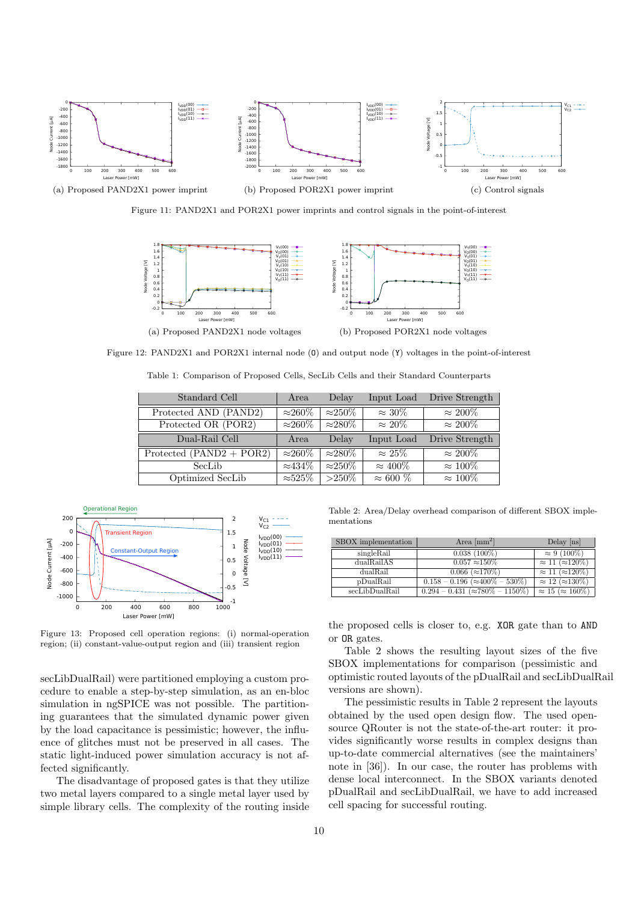<span id="page-9-3"></span><span id="page-9-1"></span>

<span id="page-9-2"></span><span id="page-9-0"></span>Figure 11: PAND2X1 and POR2X1 power imprints and control signals in the point-of-interest

<span id="page-9-4"></span>

<span id="page-9-6"></span>Figure 12: PAND2X1 and POR2X1 internal node (0) and output node (Y) voltages in the point-of-interest

| Standard Cell              | Area               | Delay          | Input Load      | Drive Strength  |
|----------------------------|--------------------|----------------|-----------------|-----------------|
| Protected AND (PAND2)      | $\approx$ 260%     | $\approx$ 250% | $\approx 30\%$  | $\approx 200\%$ |
| Protected OR (POR2)        | $\approx$ 260%     | $\approx$ 280% | $\approx 20\%$  | $\approx 200\%$ |
| Dual-Rail Cell             | Area               | Delay          | Input Load      | Drive Strength  |
| Protected $(PAND2 + POR2)$ | $\approx$ 260%     | $\approx$ 280% | $\approx 25\%$  | $\approx 200\%$ |
| SecLib                     | $\approx$ 434%     | $\approx$ 250% | $\approx 400\%$ | $\approx 100\%$ |
| Optimized SecLib           | $\approx\!\!525\%$ | $>250\%$       | $\approx 600\%$ | $\approx 100\%$ |

Table 1: Comparison of Proposed Cells, SecLib Cells and their Standard Counterparts

<span id="page-9-5"></span>

Figure 13: Proposed cell operation regions: (i) normal-operation region; (ii) constant-value-output region and (iii) transient region

secLibDualRail) were partitioned employing a custom procedure to enable a step-by-step simulation, as an en-bloc simulation in ngSPICE was not possible. The partitioning guarantees that the simulated dynamic power given by the load capacitance is pessimistic; however, the influence of glitches must not be preserved in all cases. The static light-induced power simulation accuracy is not affected significantly.

The disadvantage of proposed gates is that they utilize two metal layers compared to a single metal layer used by simple library cells. The complexity of the routing inside

Table 2: Area/Delay overhead comparison of different SBOX implementations

<span id="page-9-7"></span>

| SBOX implementation | Area $\mathrm{[mm^2]}$                      | Delay [ns]                      |
|---------------------|---------------------------------------------|---------------------------------|
| singleRail          | $0.038(100\%)$                              | $\approx 9 (100\%)$             |
| dualRailAS          | $0.057 \approx 150\%$                       | $\approx 11 \; (\approx 120\%)$ |
| dualRail            | $0.066~(\approx170\%)$                      | $\approx 11 \; (\approx 120\%)$ |
| pDualRail           | $0.158 - 0.196$ ( $\approx 400\% - 530\%$ ) | $\approx 12~(\approx 130\%)$    |
| secLibDualRail      | $0.294 - 0.431 (\approx 780\% - 1150\%)$    | $\approx 15 \approx 160\%)$     |

the proposed cells is closer to, e.g. XOR gate than to AND or OR gates.

Table [2](#page-9-7) shows the resulting layout sizes of the five SBOX implementations for comparison (pessimistic and optimistic routed layouts of the pDualRail and secLibDualRail versions are shown).

The pessimistic results in Table [2](#page-9-7) represent the layouts obtained by the used open design flow. The used opensource QRouter is not the state-of-the-art router: it provides significantly worse results in complex designs than up-to-date commercial alternatives (see the maintainers' note in [\[36\]](#page-14-15)). In our case, the router has problems with dense local interconnect. In the SBOX variants denoted pDualRail and secLibDualRail, we have to add increased cell spacing for successful routing.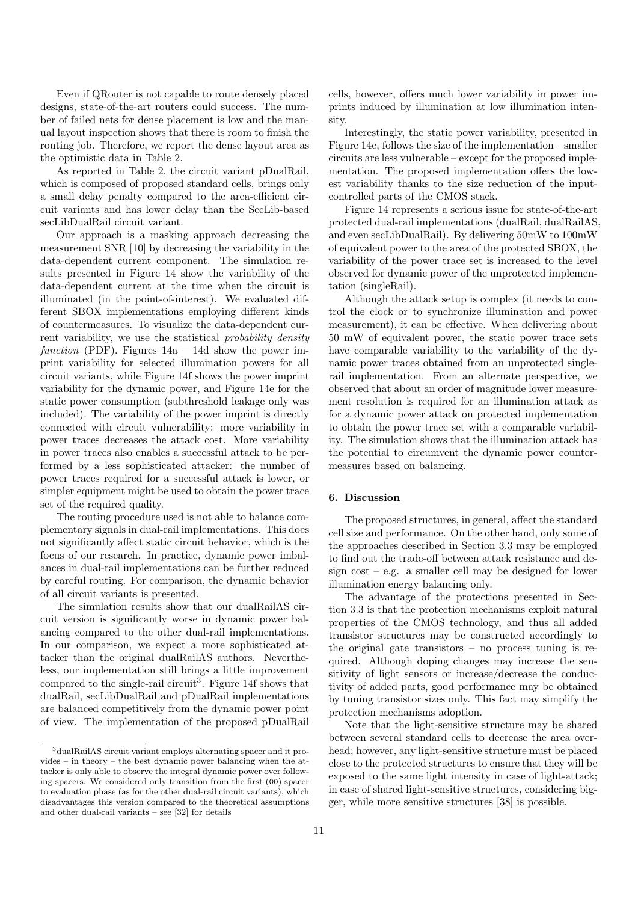Even if QRouter is not capable to route densely placed designs, state-of-the-art routers could success. The number of failed nets for dense placement is low and the manual layout inspection shows that there is room to finish the routing job. Therefore, we report the dense layout area as the optimistic data in Table [2.](#page-9-7)

As reported in Table [2,](#page-9-7) the circuit variant pDualRail, which is composed of proposed standard cells, brings only a small delay penalty compared to the area-efficient circuit variants and has lower delay than the SecLib-based secLibDualRail circuit variant.

Our approach is a masking approach decreasing the measurement SNR [\[10\]](#page-13-9) by decreasing the variability in the data-dependent current component. The simulation results presented in Figure [14](#page-11-0) show the variability of the data-dependent current at the time when the circuit is illuminated (in the point-of-interest). We evaluated different SBOX implementations employing different kinds of countermeasures. To visualize the data-dependent current variability, we use the statistical probability density function (PDF). Figures  $14a - 14d$  $14a - 14d$  show the power imprint variability for selected illumination powers for all circuit variants, while Figure [14f](#page-11-3) shows the power imprint variability for the dynamic power, and Figure [14e](#page-11-4) for the static power consumption (subthreshold leakage only was included). The variability of the power imprint is directly connected with circuit vulnerability: more variability in power traces decreases the attack cost. More variability in power traces also enables a successful attack to be performed by a less sophisticated attacker: the number of power traces required for a successful attack is lower, or simpler equipment might be used to obtain the power trace set of the required quality.

The routing procedure used is not able to balance complementary signals in dual-rail implementations. This does not significantly affect static circuit behavior, which is the focus of our research. In practice, dynamic power imbalances in dual-rail implementations can be further reduced by careful routing. For comparison, the dynamic behavior of all circuit variants is presented.

The simulation results show that our dualRailAS circuit version is significantly worse in dynamic power balancing compared to the other dual-rail implementations. In our comparison, we expect a more sophisticated attacker than the original dualRailAS authors. Nevertheless, our implementation still brings a little improvement compared to the single-rail circuit<sup>[3](#page-10-1)</sup>. Figure [14f](#page-11-3) shows that dualRail, secLibDualRail and pDualRail implementations are balanced competitively from the dynamic power point of view. The implementation of the proposed pDualRail

cells, however, offers much lower variability in power imprints induced by illumination at low illumination intensity.

Interestingly, the static power variability, presented in Figure [14e,](#page-11-4) follows the size of the implementation – smaller circuits are less vulnerable – except for the proposed implementation. The proposed implementation offers the lowest variability thanks to the size reduction of the inputcontrolled parts of the CMOS stack.

Figure [14](#page-11-0) represents a serious issue for state-of-the-art protected dual-rail implementations (dualRail, dualRailAS, and even secLibDualRail). By delivering 50mW to 100mW of equivalent power to the area of the protected SBOX, the variability of the power trace set is increased to the level observed for dynamic power of the unprotected implementation (singleRail).

Although the attack setup is complex (it needs to control the clock or to synchronize illumination and power measurement), it can be effective. When delivering about 50 mW of equivalent power, the static power trace sets have comparable variability to the variability of the dynamic power traces obtained from an unprotected singlerail implementation. From an alternate perspective, we observed that about an order of magnitude lower measurement resolution is required for an illumination attack as for a dynamic power attack on protected implementation to obtain the power trace set with a comparable variability. The simulation shows that the illumination attack has the potential to circumvent the dynamic power countermeasures based on balancing.

# <span id="page-10-0"></span>6. Discussion

The proposed structures, in general, affect the standard cell size and performance. On the other hand, only some of the approaches described in Section [3.3](#page-5-5) may be employed to find out the trade-off between attack resistance and design  $cost - e.g.$  a smaller cell may be designed for lower illumination energy balancing only.

The advantage of the protections presented in Section [3.3](#page-5-5) is that the protection mechanisms exploit natural properties of the CMOS technology, and thus all added transistor structures may be constructed accordingly to the original gate transistors – no process tuning is required. Although doping changes may increase the sensitivity of light sensors or increase/decrease the conductivity of added parts, good performance may be obtained by tuning transistor sizes only. This fact may simplify the protection mechanisms adoption.

Note that the light-sensitive structure may be shared between several standard cells to decrease the area overhead; however, any light-sensitive structure must be placed close to the protected structures to ensure that they will be exposed to the same light intensity in case of light-attack; in case of shared light-sensitive structures, considering bigger, while more sensitive structures [\[38\]](#page-14-17) is possible.

<span id="page-10-1"></span><sup>3</sup>dualRailAS circuit variant employs alternating spacer and it provides – in theory – the best dynamic power balancing when the attacker is only able to observe the integral dynamic power over following spacers. We considered only transition from the first (00) spacer to evaluation phase (as for the other dual-rail circuit variants), which disadvantages this version compared to the theoretical assumptions and other dual-rail variants – see [\[32\]](#page-14-11) for details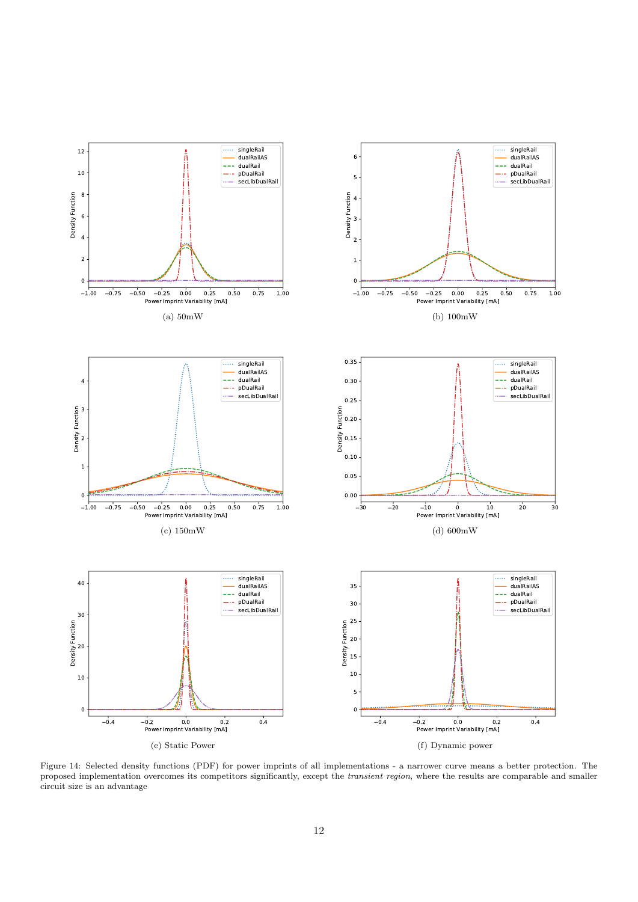<span id="page-11-1"></span><span id="page-11-0"></span>

<span id="page-11-4"></span><span id="page-11-3"></span><span id="page-11-2"></span>Figure 14: Selected density functions (PDF) for power imprints of all implementations - a narrower curve means a better protection. The proposed implementation overcomes its competitors significantly, except the *transient region*, where the results are comparable and smaller circuit size is an advantage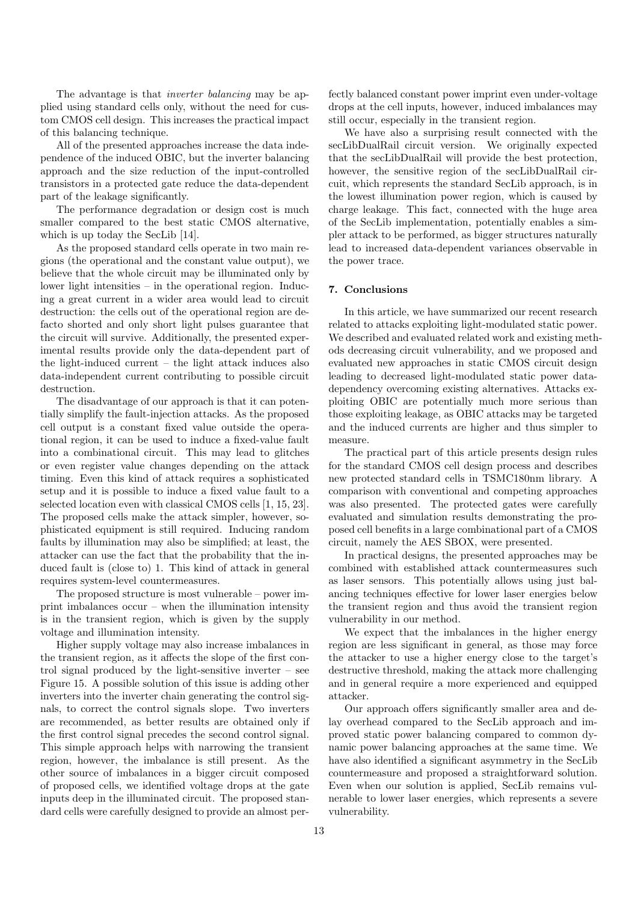The advantage is that inverter balancing may be applied using standard cells only, without the need for custom CMOS cell design. This increases the practical impact of this balancing technique.

All of the presented approaches increase the data independence of the induced OBIC, but the inverter balancing approach and the size reduction of the input-controlled transistors in a protected gate reduce the data-dependent part of the leakage significantly.

The performance degradation or design cost is much smaller compared to the best static CMOS alternative, which is up today the SecLib [\[14\]](#page-13-13).

As the proposed standard cells operate in two main regions (the operational and the constant value output), we believe that the whole circuit may be illuminated only by lower light intensities – in the operational region. Inducing a great current in a wider area would lead to circuit destruction: the cells out of the operational region are defacto shorted and only short light pulses guarantee that the circuit will survive. Additionally, the presented experimental results provide only the data-dependent part of the light-induced current – the light attack induces also data-independent current contributing to possible circuit destruction.

The disadvantage of our approach is that it can potentially simplify the fault-injection attacks. As the proposed cell output is a constant fixed value outside the operational region, it can be used to induce a fixed-value fault into a combinational circuit. This may lead to glitches or even register value changes depending on the attack timing. Even this kind of attack requires a sophisticated setup and it is possible to induce a fixed value fault to a selected location even with classical CMOS cells [\[1,](#page-13-0) [15,](#page-13-14) [23\]](#page-14-2). The proposed cells make the attack simpler, however, sophisticated equipment is still required. Inducing random faults by illumination may also be simplified; at least, the attacker can use the fact that the probability that the induced fault is (close to) 1. This kind of attack in general requires system-level countermeasures.

The proposed structure is most vulnerable – power imprint imbalances occur – when the illumination intensity is in the transient region, which is given by the supply voltage and illumination intensity.

Higher supply voltage may also increase imbalances in the transient region, as it affects the slope of the first control signal produced by the light-sensitive inverter – see Figure [15.](#page-13-20) A possible solution of this issue is adding other inverters into the inverter chain generating the control signals, to correct the control signals slope. Two inverters are recommended, as better results are obtained only if the first control signal precedes the second control signal. This simple approach helps with narrowing the transient region, however, the imbalance is still present. As the other source of imbalances in a bigger circuit composed of proposed cells, we identified voltage drops at the gate inputs deep in the illuminated circuit. The proposed standard cells were carefully designed to provide an almost per-

fectly balanced constant power imprint even under-voltage drops at the cell inputs, however, induced imbalances may still occur, especially in the transient region.

We have also a surprising result connected with the secLibDualRail circuit version. We originally expected that the secLibDualRail will provide the best protection, however, the sensitive region of the secLibDualRail circuit, which represents the standard SecLib approach, is in the lowest illumination power region, which is caused by charge leakage. This fact, connected with the huge area of the SecLib implementation, potentially enables a simpler attack to be performed, as bigger structures naturally lead to increased data-dependent variances observable in the power trace.

# 7. Conclusions

In this article, we have summarized our recent research related to attacks exploiting light-modulated static power. We described and evaluated related work and existing methods decreasing circuit vulnerability, and we proposed and evaluated new approaches in static CMOS circuit design leading to decreased light-modulated static power datadependency overcoming existing alternatives. Attacks exploiting OBIC are potentially much more serious than those exploiting leakage, as OBIC attacks may be targeted and the induced currents are higher and thus simpler to measure.

The practical part of this article presents design rules for the standard CMOS cell design process and describes new protected standard cells in TSMC180nm library. A comparison with conventional and competing approaches was also presented. The protected gates were carefully evaluated and simulation results demonstrating the proposed cell benefits in a large combinational part of a CMOS circuit, namely the AES SBOX, were presented.

In practical designs, the presented approaches may be combined with established attack countermeasures such as laser sensors. This potentially allows using just balancing techniques effective for lower laser energies below the transient region and thus avoid the transient region vulnerability in our method.

We expect that the imbalances in the higher energy region are less significant in general, as those may force the attacker to use a higher energy close to the target's destructive threshold, making the attack more challenging and in general require a more experienced and equipped attacker.

Our approach offers significantly smaller area and delay overhead compared to the SecLib approach and improved static power balancing compared to common dynamic power balancing approaches at the same time. We have also identified a significant asymmetry in the SecLib countermeasure and proposed a straightforward solution. Even when our solution is applied, SecLib remains vulnerable to lower laser energies, which represents a severe vulnerability.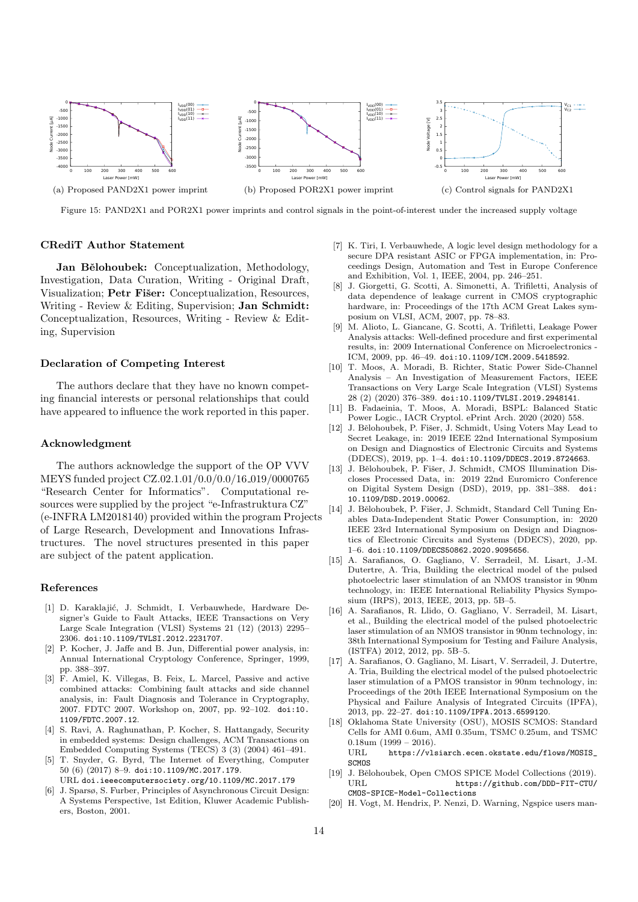<span id="page-13-20"></span>

Figure 15: PAND2X1 and POR2X1 power imprints and control signals in the point-of-interest under the increased supply voltage

## CRediT Author Statement

Jan Bělohoubek: Conceptualization, Methodology, Investigation, Data Curation, Writing - Original Draft, Visualization; Petr Fišer: Conceptualization, Resources, Writing - Review & Editing, Supervision; Jan Schmidt: Conceptualization, Resources, Writing - Review & Editing, Supervision

## Declaration of Competing Interest

The authors declare that they have no known competing financial interests or personal relationships that could have appeared to influence the work reported in this paper.

#### Acknowledgment

The authors acknowledge the support of the OP VVV MEYS funded project CZ.02.1.01/0.0/0.0/16 019/0000765 "Research Center for Informatics". Computational resources were supplied by the project "e-Infrastruktura CZ" (e-INFRA LM2018140) provided within the program Projects of Large Research, Development and Innovations Infrastructures. The novel structures presented in this paper are subject of the patent application.

#### References

- <span id="page-13-0"></span>[1] D. Karaklajić, J. Schmidt, I. Verbauwhede, Hardware Designer's Guide to Fault Attacks, IEEE Transactions on Very Large Scale Integration (VLSI) Systems 21 (12) (2013) 2295– 2306. [doi:10.1109/TVLSI.2012.2231707](https://doi.org/10.1109/TVLSI.2012.2231707).
- <span id="page-13-1"></span>[2] P. Kocher, J. Jaffe and B. Jun, Differential power analysis, in: Annual International Cryptology Conference, Springer, 1999, pp. 388–397.
- <span id="page-13-2"></span>[3] F. Amiel, K. Villegas, B. Feix, L. Marcel, Passive and active combined attacks: Combining fault attacks and side channel analysis, in: Fault Diagnosis and Tolerance in Cryptography, 2007. FDTC 2007. Workshop on, 2007, pp. 92–102. [doi:10.](https://doi.org/10.1109/FDTC.2007.12) [1109/FDTC.2007.12](https://doi.org/10.1109/FDTC.2007.12).
- <span id="page-13-3"></span>[4] S. Ravi, A. Raghunathan, P. Kocher, S. Hattangady, Security in embedded systems: Design challenges, ACM Transactions on Embedded Computing Systems (TECS) 3 (3) (2004) 461–491.
- <span id="page-13-4"></span>[5] T. Snyder, G. Byrd, [The Internet of Everything,](doi.ieeecomputersociety.org/10.1109/MC.2017.179) Computer 50 (6) (2017) 8–9. [doi:10.1109/MC.2017.179](https://doi.org/10.1109/MC.2017.179). URL <doi.ieeecomputersociety.org/10.1109/MC.2017.179>
- <span id="page-13-5"></span>[6] J. Sparsø, S. Furber, Principles of Asynchronous Circuit Design: A Systems Perspective, 1st Edition, Kluwer Academic Publishers, Boston, 2001.
- <span id="page-13-6"></span>[7] K. Tiri, I. Verbauwhede, A logic level design methodology for a secure DPA resistant ASIC or FPGA implementation, in: Proceedings Design, Automation and Test in Europe Conference and Exhibition, Vol. 1, IEEE, 2004, pp. 246–251.
- <span id="page-13-7"></span>[8] J. Giorgetti, G. Scotti, A. Simonetti, A. Trifiletti, Analysis of data dependence of leakage current in CMOS cryptographic hardware, in: Proceedings of the 17th ACM Great Lakes symposium on VLSI, ACM, 2007, pp. 78–83.
- <span id="page-13-8"></span>[9] M. Alioto, L. Giancane, G. Scotti, A. Trifiletti, Leakage Power Analysis attacks: Well-defined procedure and first experimental results, in: 2009 International Conference on Microelectronics - ICM, 2009, pp. 46–49. [doi:10.1109/ICM.2009.5418592](https://doi.org/10.1109/ICM.2009.5418592).
- <span id="page-13-9"></span>[10] T. Moos, A. Moradi, B. Richter, Static Power Side-Channel Analysis – An Investigation of Measurement Factors, IEEE Transactions on Very Large Scale Integration (VLSI) Systems 28 (2) (2020) 376–389. [doi:10.1109/TVLSI.2019.2948141](https://doi.org/10.1109/TVLSI.2019.2948141).
- <span id="page-13-10"></span>[11] B. Fadaeinia, T. Moos, A. Moradi, BSPL: Balanced Static Power Logic., IACR Cryptol. ePrint Arch. 2020 (2020) 558.
- <span id="page-13-11"></span>[12] J. Bělohoubek, P. Fišer, J. Schmidt, Using Voters May Lead to Secret Leakage, in: 2019 IEEE 22nd International Symposium on Design and Diagnostics of Electronic Circuits and Systems (DDECS), 2019, pp. 1–4. [doi:10.1109/DDECS.2019.8724663](https://doi.org/10.1109/DDECS.2019.8724663).
- <span id="page-13-12"></span>[13] J. Bělohoubek, P. Fišer, J. Schmidt, CMOS Illumination Discloses Processed Data, in: 2019 22nd Euromicro Conference on Digital System Design (DSD), 2019, pp. 381–388. [doi:](https://doi.org/10.1109/DSD.2019.00062) [10.1109/DSD.2019.00062](https://doi.org/10.1109/DSD.2019.00062).
- <span id="page-13-13"></span>[14] J. Bělohoubek, P. Fišer, J. Schmidt, Standard Cell Tuning Enables Data-Independent Static Power Consumption, in: 2020 IEEE 23rd International Symposium on Design and Diagnostics of Electronic Circuits and Systems (DDECS), 2020, pp. 1–6. [doi:10.1109/DDECS50862.2020.9095656](https://doi.org/10.1109/DDECS50862.2020.9095656).
- <span id="page-13-14"></span>[15] A. Sarafianos, O. Gagliano, V. Serradeil, M. Lisart, J.-M. Dutertre, A. Tria, Building the electrical model of the pulsed photoelectric laser stimulation of an NMOS transistor in 90nm technology, in: IEEE International Reliability Physics Symposium (IRPS), 2013, IEEE, 2013, pp. 5B–5.
- <span id="page-13-15"></span>[16] A. Sarafianos, R. Llido, O. Gagliano, V. Serradeil, M. Lisart, et al., Building the electrical model of the pulsed photoelectric laser stimulation of an NMOS transistor in 90nm technology, in: 38th International Symposium for Testing and Failure Analysis, (ISTFA) 2012, 2012, pp. 5B–5.
- <span id="page-13-16"></span>[17] A. Sarafianos, O. Gagliano, M. Lisart, V. Serradeil, J. Dutertre, A. Tria, Building the electrical model of the pulsed photoelectric laser stimulation of a PMOS transistor in 90nm technology, in: Proceedings of the 20th IEEE International Symposium on the Physical and Failure Analysis of Integrated Circuits (IPFA), 2013, pp. 22–27. [doi:10.1109/IPFA.2013.6599120](https://doi.org/10.1109/IPFA.2013.6599120).
- <span id="page-13-17"></span>[18] Oklahoma State University (OSU), [MOSIS SCMOS: Standard](https://vlsiarch.ecen.okstate.edu/flows/MOSIS_SCMOS) [Cells for AMI 0.6um, AMI 0.35um, TSMC 0.25um, and TSMC](https://vlsiarch.ecen.okstate.edu/flows/MOSIS_SCMOS) [0.18um](https://vlsiarch.ecen.okstate.edu/flows/MOSIS_SCMOS) (1999 – 2016). URL [https://vlsiarch.ecen.okstate.edu/flows/MOSIS\\_](https://vlsiarch.ecen.okstate.edu/flows/MOSIS_SCMOS) **[SCMOS](https://vlsiarch.ecen.okstate.edu/flows/MOSIS_SCMOS)**
- <span id="page-13-18"></span>[19] J. Bělohoubek, [Open CMOS SPICE Model Collections](https://github.com/DDD-FIT-CTU/CMOS-SPICE-Model-Collections) (2019). URL [https://github.com/DDD-FIT-CTU/](https://github.com/DDD-FIT-CTU/CMOS-SPICE-Model-Collections) [CMOS-SPICE-Model-Collections](https://github.com/DDD-FIT-CTU/CMOS-SPICE-Model-Collections)
- <span id="page-13-19"></span>[20] H. Vogt, M. Hendrix, P. Nenzi, D. Warning, Ngspice users man-